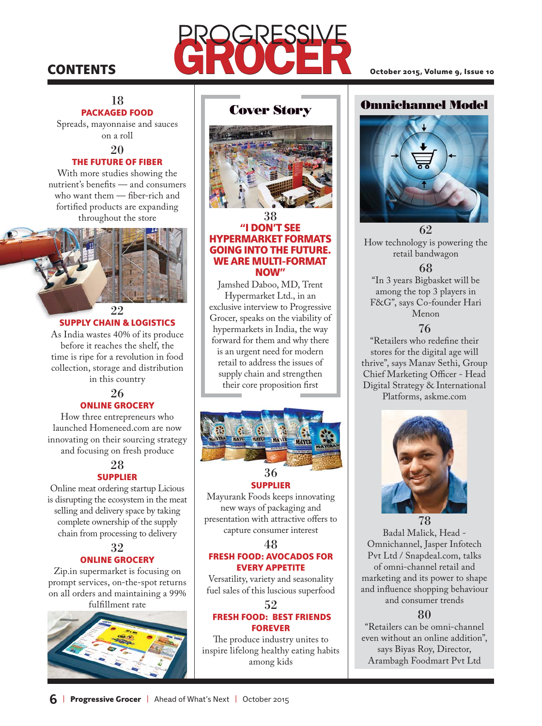# **CONTENTS**

# 18 PACKAGED FOOD

Spreads, mayonnaise and sauces on a roll

20

### THE FUTURE OF FIBER

With more studies showing the nutrient's benefits — and consumers who want them - fiber-rich and fortified products are expanding throughout the store



# SUPPLY CHAIN & LOGISTICS

As India wastes 40% of its produce before it reaches the shelf, the time is ripe for a revolution in food collection, storage and distribution in this country

## 26 ONLINE GROCERY

How three entrepreneurs who launched Homeneed.com are now innovating on their sourcing strategy and focusing on fresh produce

## 28 **SUPPLIER**

Online meat ordering startup Licious is disrupting the ecosystem in the meat selling and delivery space by taking complete ownership of the supply chain from processing to delivery

# 32 ONLINE GROCERY

Zip.in supermarket is focusing on prompt services, on-the-spot returns on all orders and maintaining a 99% fulfillment rate



# **Cover Story**



#### 38 "I DON'T SEE HYPERMARKET FORMATS GOING INTO THE FUTURE. WE ARE MULTI-FORMAT NOW"

Jamshed Daboo, MD, Trent Hypermarket Ltd., in an exclusive interview to Progressive Grocer, speaks on the viability of hypermarkets in India, the way forward for them and why there is an urgent need for modern retail to address the issues of supply chain and strengthen their core proposition first



# SUPPLIER

Mayurank Foods keeps innovating new ways of packaging and presentation with attractive offers to capture consumer interest

#### 48

#### FRESH FOOD: AVOCADOS FOR EVERY APPETITE

Versatility, variety and seasonality fuel sales of this luscious superfood

#### 52 FRESH FOOD: BEST FRIENDS FOREVER

The produce industry unites to inspire lifelong healthy eating habits among kids

# **Omnichannel Model**



62 How technology is powering the retail bandwagon

# 68

"In 3 years Bigbasket will be among the top 3 players in F&G", says Co-founder Hari Menon

#### 76

"Retailers who redefine their stores for the digital age will thrive", says Manav Sethi, Group Chief Marketing Officer - Head Digital Strategy & International Platforms, askme.com



78 Badal Malick, Head - Omnichannel, Jasper Infotech Pvt Ltd / Snapdeal.com, talks of omni-channel retail and marketing and its power to shape and influence shopping behaviour and consumer trends

# 80

"Retailers can be omni-channel even without an online addition", says Biyas Roy, Director, Arambagh Foodmart Pvt Ltd